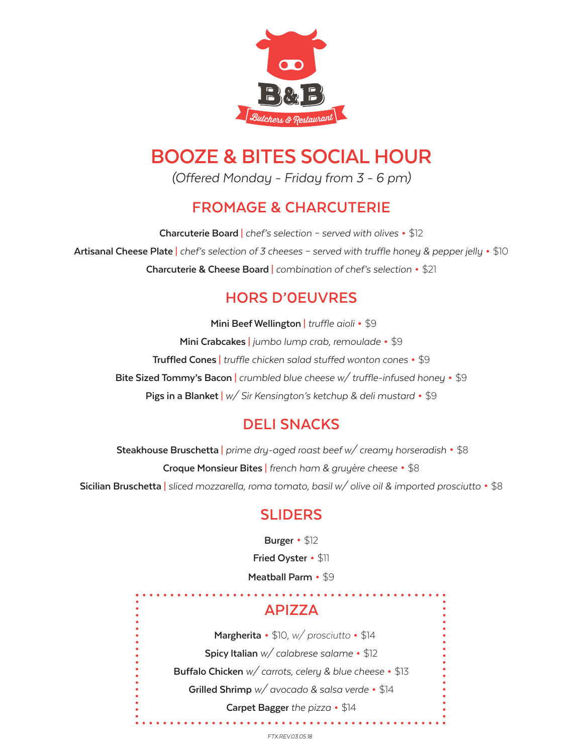

# **BOOZE & BITES SOCIAL HOUR**

*(Offered Monday - Friday from 3 - 6 pm)*

# **FROMAGE & CHARCUTERIE**

**Charcuterie Board** <sup>|</sup>*chef's selection – served with olives* • \$12 **Artisanal Cheese Plate** <sup>|</sup>*chef's selection of 3 cheeses – served with truffle honey & pepper jelly* • \$10 **Charcuterie & Cheese Board** <sup>|</sup>*combination of chef's selection* • \$21

# **HORS D'0EUVRES**

 **Mini Beef Wellington** <sup>|</sup>*truffle aioli*• \$9 **Mini Crabcakes** | *jumbo lump crab, remoulade* • \$9 **Truffled Cones** | *truffle chicken salad stuffed wonton cones* • \$9 **Bite Sized Tommy's Bacon** | *crumbled blue cheese w/ truffle-infused honey* • \$9 **Pigs in a Blanket** | *w/ Sir Kensington's ketchup & deli mustard* • \$9

# **DELI SNACKS**

 **Steakhouse Bruschetta** <sup>|</sup>*prime dry-aged roast beef w/ creamy horseradish* • \$8 **Croque Monsieur Bites** <sup>|</sup>*french ham & gruyère cheese* • \$8 **Sicilian Bruschetta** <sup>|</sup>*sliced mozzarella, roma tomato, basil w/ olive oil & imported prosciutto* • \$8

# **SLIDERS**

 **Burger**• \$12 **Fried Oyster**• \$11 **Meatball Parm** • \$9

# **APIZZA**

 **Margherita** • \$10, *w/ prosciutto* • \$14 **Spicy Italian** *w/ calabrese salame* • \$12 **Buffalo Chicken** *w/ carrots, celery & blue cheese* • \$13 **Grilled Shrimp** *w/ avocado & salsa verde* • \$14 **Carpet Bagger** *the pizza* • \$14